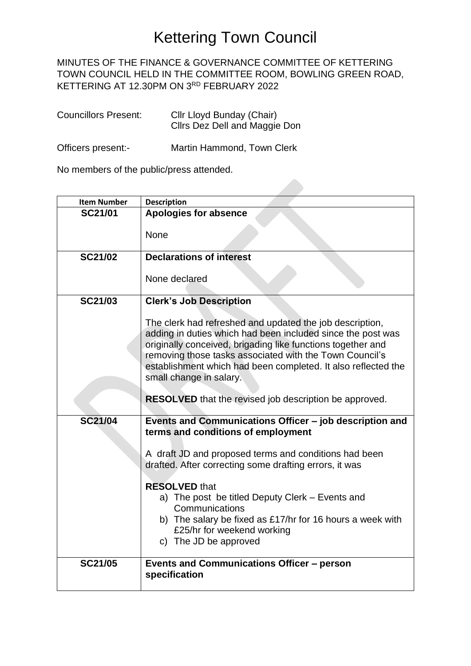## Kettering Town Council

## MINUTES OF THE FINANCE & GOVERNANCE COMMITTEE OF KETTERING TOWN COUNCIL HELD IN THE COMMITTEE ROOM, BOWLING GREEN ROAD, KETTERING AT 12.30PM ON 3RD FEBRUARY 2022

| <b>Councillors Present:</b> | Cllr Lloyd Bunday (Chair)<br>Cllrs Dez Dell and Maggie Don |
|-----------------------------|------------------------------------------------------------|
|                             |                                                            |

Officers present:- Martin Hammond, Town Clerk

No members of the public/press attended.

| <b>Item Number</b> | <b>Description</b>                                                                                                                                                                                                                                                                                                                            |
|--------------------|-----------------------------------------------------------------------------------------------------------------------------------------------------------------------------------------------------------------------------------------------------------------------------------------------------------------------------------------------|
| SC21/01            | <b>Apologies for absence</b>                                                                                                                                                                                                                                                                                                                  |
|                    | None                                                                                                                                                                                                                                                                                                                                          |
| <b>SC21/02</b>     | <b>Declarations of interest</b>                                                                                                                                                                                                                                                                                                               |
|                    | None declared                                                                                                                                                                                                                                                                                                                                 |
| <b>SC21/03</b>     | <b>Clerk's Job Description</b>                                                                                                                                                                                                                                                                                                                |
|                    | The clerk had refreshed and updated the job description,<br>adding in duties which had been included since the post was<br>originally conceived, brigading like functions together and<br>removing those tasks associated with the Town Council's<br>establishment which had been completed. It also reflected the<br>small change in salary. |
|                    | <b>RESOLVED</b> that the revised job description be approved.                                                                                                                                                                                                                                                                                 |
| <b>SC21/04</b>     | Events and Communications Officer - job description and<br>terms and conditions of employment                                                                                                                                                                                                                                                 |
|                    | A draft JD and proposed terms and conditions had been<br>drafted. After correcting some drafting errors, it was                                                                                                                                                                                                                               |
|                    | <b>RESOLVED that</b><br>a) The post be titled Deputy Clerk - Events and<br>Communications<br>b) The salary be fixed as £17/hr for 16 hours a week with<br>£25/hr for weekend working<br>c) The JD be approved                                                                                                                                 |
| <b>SC21/05</b>     | <b>Events and Communications Officer - person</b><br>specification                                                                                                                                                                                                                                                                            |